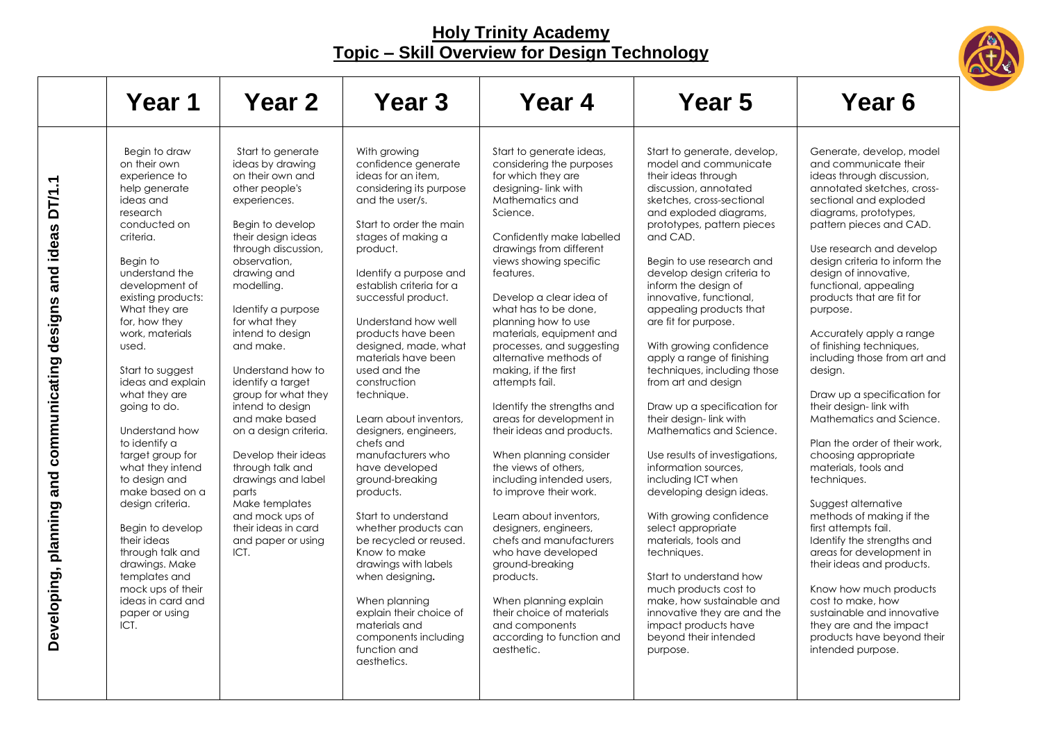

|                                                                       | Year 1                                                                                                                                                                                                                                                                                                                                                                                                                                                                                                                                                                                                                               | <b>Year 2</b>                                                                                                                                                                                                                                                                                                                                                                                                                                                                                                                                                                         | Year 3                                                                                                                                                                                                                                                                                                                                                                                                                                                                                                                                                                                                                                                                                                                                                                                     | Year 4                                                                                                                                                                                                                                                                                                                                                                                                                                                                                                                                                                                                                                                                                                                                                                                                                                                                                        | Year 5                                                                                                                                                                                                                                                                                                                                                                                                                                                                                                                                                                                                                                                                                                                                                                                                                                                                                                                                                      | Year 6                                                                                                                                                                                                                                                                                                                                                                                                                                                                                                                                                                                                                                                                                                                                                                                                                                                                                                                                                                  |
|-----------------------------------------------------------------------|--------------------------------------------------------------------------------------------------------------------------------------------------------------------------------------------------------------------------------------------------------------------------------------------------------------------------------------------------------------------------------------------------------------------------------------------------------------------------------------------------------------------------------------------------------------------------------------------------------------------------------------|---------------------------------------------------------------------------------------------------------------------------------------------------------------------------------------------------------------------------------------------------------------------------------------------------------------------------------------------------------------------------------------------------------------------------------------------------------------------------------------------------------------------------------------------------------------------------------------|--------------------------------------------------------------------------------------------------------------------------------------------------------------------------------------------------------------------------------------------------------------------------------------------------------------------------------------------------------------------------------------------------------------------------------------------------------------------------------------------------------------------------------------------------------------------------------------------------------------------------------------------------------------------------------------------------------------------------------------------------------------------------------------------|-----------------------------------------------------------------------------------------------------------------------------------------------------------------------------------------------------------------------------------------------------------------------------------------------------------------------------------------------------------------------------------------------------------------------------------------------------------------------------------------------------------------------------------------------------------------------------------------------------------------------------------------------------------------------------------------------------------------------------------------------------------------------------------------------------------------------------------------------------------------------------------------------|-------------------------------------------------------------------------------------------------------------------------------------------------------------------------------------------------------------------------------------------------------------------------------------------------------------------------------------------------------------------------------------------------------------------------------------------------------------------------------------------------------------------------------------------------------------------------------------------------------------------------------------------------------------------------------------------------------------------------------------------------------------------------------------------------------------------------------------------------------------------------------------------------------------------------------------------------------------|-------------------------------------------------------------------------------------------------------------------------------------------------------------------------------------------------------------------------------------------------------------------------------------------------------------------------------------------------------------------------------------------------------------------------------------------------------------------------------------------------------------------------------------------------------------------------------------------------------------------------------------------------------------------------------------------------------------------------------------------------------------------------------------------------------------------------------------------------------------------------------------------------------------------------------------------------------------------------|
| DT/1.1<br>and ideas<br>Developing, planning and communicating designs | Begin to draw<br>on their own<br>experience to<br>help generate<br>ideas and<br>research<br>conducted on<br>criteria.<br>Begin to<br>understand the<br>development of<br>existing products:<br>What they are<br>for, how they<br>work, materials<br>used.<br>Start to suggest<br>ideas and explain<br>what they are<br>going to do.<br>Understand how<br>to identify a<br>target group for<br>what they intend<br>to design and<br>make based on a<br>design criteria.<br>Begin to develop<br>their ideas<br>through talk and<br>drawings. Make<br>templates and<br>mock ups of their<br>ideas in card and<br>paper or using<br>ICT. | Start to generate<br>ideas by drawing<br>on their own and<br>other people's<br>experiences.<br>Begin to develop<br>their design ideas<br>through discussion,<br>observation.<br>drawing and<br>modelling.<br>Identify a purpose<br>for what they<br>intend to design<br>and make.<br>Understand how to<br>identify a target<br>group for what they<br>intend to design<br>and make based<br>on a design criteria.<br>Develop their ideas<br>through talk and<br>drawings and label<br>parts<br>Make templates<br>and mock ups of<br>their ideas in card<br>and paper or using<br>ICT. | With growing<br>confidence generate<br>ideas for an item.<br>considering its purpose<br>and the user/s.<br>Start to order the main<br>stages of making a<br>product.<br>Identify a purpose and<br>establish criteria for a<br>successful product.<br>Understand how well<br>products have been<br>designed, made, what<br>materials have been<br>used and the<br>construction<br>technique.<br>Learn about inventors,<br>designers, engineers,<br>chefs and<br>manufacturers who<br>have developed<br>ground-breaking<br>products.<br>Start to understand<br>whether products can<br>be recycled or reused.<br>Know to make<br>drawings with labels<br>when designing.<br>When planning<br>explain their choice of<br>materials and<br>components including<br>function and<br>aesthetics. | Start to generate ideas,<br>considering the purposes<br>for which they are<br>designing-link with<br>Mathematics and<br>Science.<br>Confidently make labelled<br>drawings from different<br>views showing specific<br>features.<br>Develop a clear idea of<br>what has to be done,<br>planning how to use<br>materials, equipment and<br>processes, and suggesting<br>alternative methods of<br>making, if the first<br>attempts fail.<br>Identify the strengths and<br>areas for development in<br>their ideas and products.<br>When planning consider<br>the views of others,<br>including intended users,<br>to improve their work.<br>Learn about inventors.<br>designers, engineers,<br>chefs and manufacturers<br>who have developed<br>ground-breaking<br>products.<br>When planning explain<br>their choice of materials<br>and components<br>according to function and<br>aesthetic. | Start to generate, develop,<br>model and communicate<br>their ideas through<br>discussion, annotated<br>sketches, cross-sectional<br>and exploded diagrams,<br>prototypes, pattern pieces<br>and CAD.<br>Begin to use research and<br>develop design criteria to<br>inform the design of<br>innovative, functional,<br>appealing products that<br>are fit for purpose.<br>With growing confidence<br>apply a range of finishing<br>techniques, including those<br>from art and design<br>Draw up a specification for<br>their design-link with<br>Mathematics and Science.<br>Use results of investigations,<br>information sources,<br>including ICT when<br>developing design ideas.<br>With growing confidence<br>select appropriate<br>materials, tools and<br>techniques.<br>Start to understand how<br>much products cost to<br>make, how sustainable and<br>innovative they are and the<br>impact products have<br>beyond their intended<br>purpose. | Generate, develop, model<br>and communicate their<br>ideas through discussion,<br>annotated sketches, cross-<br>sectional and exploded<br>diagrams, prototypes,<br>pattern pieces and CAD.<br>Use research and develop<br>design criteria to inform the<br>design of innovative,<br>functional, appealing<br>products that are fit for<br>purpose.<br>Accurately apply a range<br>of finishing techniques,<br>including those from art and<br>design.<br>Draw up a specification for<br>their design-link with<br>Mathematics and Science.<br>Plan the order of their work.<br>choosing appropriate<br>materials, tools and<br>techniques.<br>Suggest alternative<br>methods of making if the<br>first attempts fail.<br>Identify the strengths and<br>areas for development in<br>their ideas and products.<br>Know how much products<br>cost to make, how<br>sustainable and innovative<br>they are and the impact<br>products have beyond their<br>intended purpose. |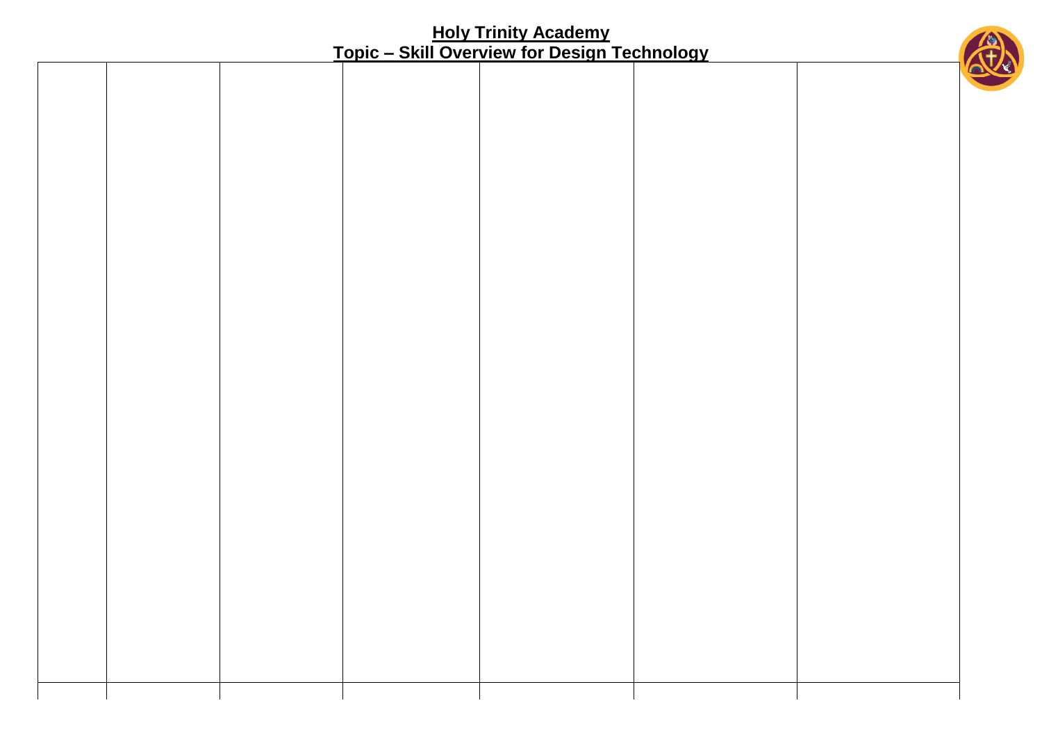- T

⊤

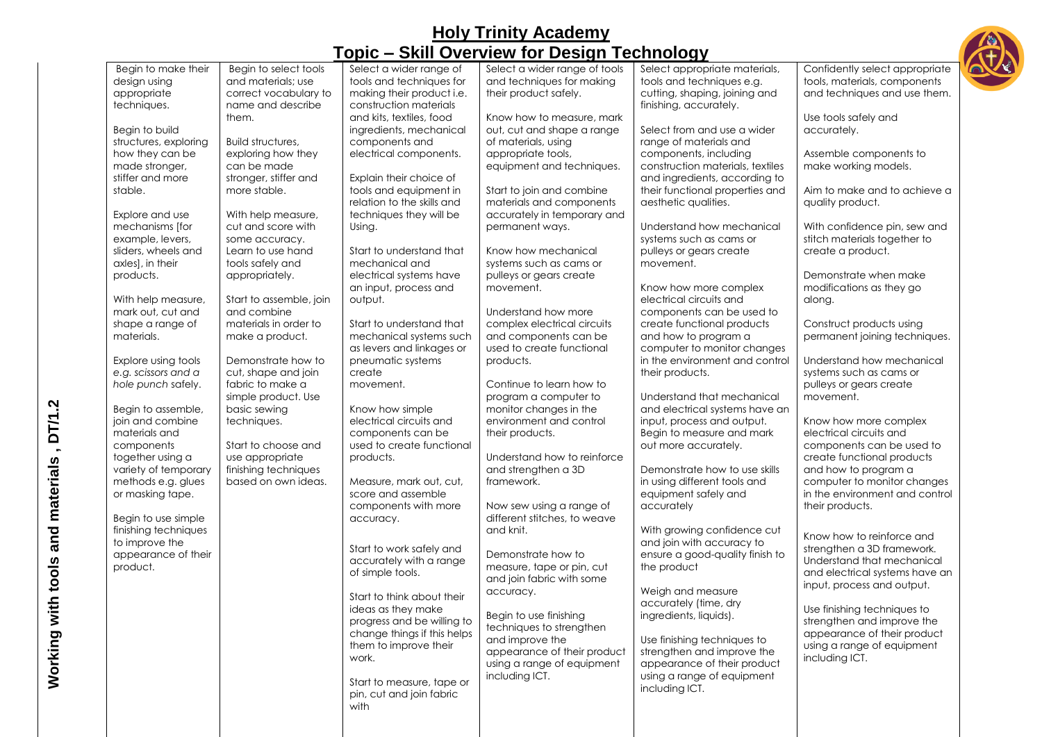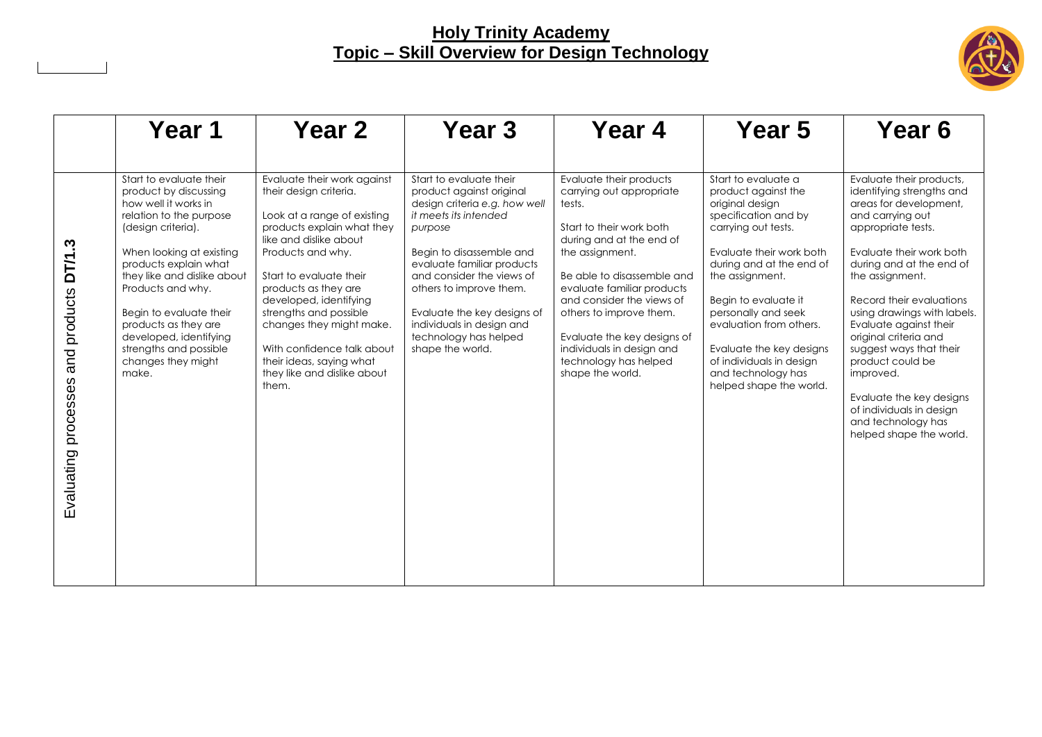

|                                                | Year 1                                                                                                                                                                                                                                                                                                                                                                   | Year 2                                                                                                                                                                                                                                                                                                                                                                                                 | Year <sub>3</sub>                                                                                                                                                                                                                                                                                                                                   | Year 4                                                                                                                                                                                                                                                                                                                                                                | Year 5                                                                                                                                                                                                                                                                                                                                                                     | Year 6                                                                                                                                                                                                                                                                                                                                                                                                                                                                                  |
|------------------------------------------------|--------------------------------------------------------------------------------------------------------------------------------------------------------------------------------------------------------------------------------------------------------------------------------------------------------------------------------------------------------------------------|--------------------------------------------------------------------------------------------------------------------------------------------------------------------------------------------------------------------------------------------------------------------------------------------------------------------------------------------------------------------------------------------------------|-----------------------------------------------------------------------------------------------------------------------------------------------------------------------------------------------------------------------------------------------------------------------------------------------------------------------------------------------------|-----------------------------------------------------------------------------------------------------------------------------------------------------------------------------------------------------------------------------------------------------------------------------------------------------------------------------------------------------------------------|----------------------------------------------------------------------------------------------------------------------------------------------------------------------------------------------------------------------------------------------------------------------------------------------------------------------------------------------------------------------------|-----------------------------------------------------------------------------------------------------------------------------------------------------------------------------------------------------------------------------------------------------------------------------------------------------------------------------------------------------------------------------------------------------------------------------------------------------------------------------------------|
| DT/1.3<br>and products<br>Evaluating processes | Start to evaluate their<br>product by discussing<br>how well it works in<br>relation to the purpose<br>(design criteria).<br>When looking at existing<br>products explain what<br>they like and dislike about<br>Products and why.<br>Begin to evaluate their<br>products as they are<br>developed, identifying<br>strengths and possible<br>changes they might<br>make. | Evaluate their work against<br>their design criteria.<br>Look at a range of existing<br>products explain what they<br>like and dislike about<br>Products and why.<br>Start to evaluate their<br>products as they are<br>developed, identifying<br>strengths and possible<br>changes they might make.<br>With confidence talk about<br>their ideas, saying what<br>they like and dislike about<br>them. | Start to evaluate their<br>product against original<br>design criteria e.g. how well<br>it meets its intended<br>purpose<br>Begin to disassemble and<br>evaluate familiar products<br>and consider the views of<br>others to improve them.<br>Evaluate the key designs of<br>individuals in design and<br>technology has helped<br>shape the world. | Evaluate their products<br>carrying out appropriate<br>tests.<br>Start to their work both<br>during and at the end of<br>the assignment.<br>Be able to disassemble and<br>evaluate familiar products<br>and consider the views of<br>others to improve them.<br>Evaluate the key designs of<br>individuals in design and<br>technology has helped<br>shape the world. | Start to evaluate a<br>product against the<br>original design<br>specification and by<br>carrying out tests.<br>Evaluate their work both<br>during and at the end of<br>the assignment.<br>Begin to evaluate it<br>personally and seek<br>evaluation from others.<br>Evaluate the key designs<br>of individuals in design<br>and technology has<br>helped shape the world. | Evaluate their products,<br>identifying strengths and<br>areas for development,<br>and carrying out<br>appropriate tests.<br>Evaluate their work both<br>during and at the end of<br>the assignment.<br>Record their evaluations<br>using drawings with labels.<br>Evaluate against their<br>original criteria and<br>suggest ways that their<br>product could be<br>improved.<br>Evaluate the key designs<br>of individuals in design<br>and technology has<br>helped shape the world. |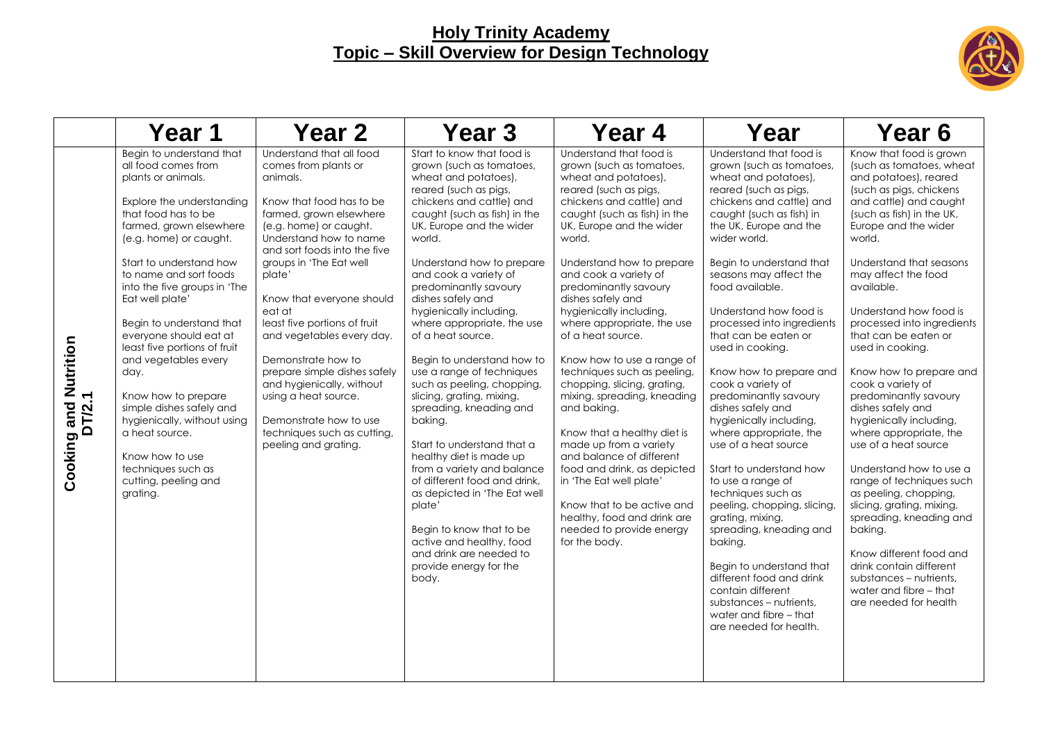

|                                                        | Year 1                                                                                                                                                                                                                                                                                                                                                                                                      | Year 2                                                                                                                                                                                                                                                                                                                            | Year 3                                                                                                                                                                                                                                                                                                                                                                                                                                                                                                                                                                                                                            | Year 4                                                                                                                                                                                                                                                                                                                                                                                                                                                                                                                                                                            | Year                                                                                                                                                                                                                                                                                                                                                                                                                                                                                                                                                                                                                                                                            | Year 6                                                                                                                                                                                                                                                                                                                                                                                                                                                                                                                                                                                                                             |
|--------------------------------------------------------|-------------------------------------------------------------------------------------------------------------------------------------------------------------------------------------------------------------------------------------------------------------------------------------------------------------------------------------------------------------------------------------------------------------|-----------------------------------------------------------------------------------------------------------------------------------------------------------------------------------------------------------------------------------------------------------------------------------------------------------------------------------|-----------------------------------------------------------------------------------------------------------------------------------------------------------------------------------------------------------------------------------------------------------------------------------------------------------------------------------------------------------------------------------------------------------------------------------------------------------------------------------------------------------------------------------------------------------------------------------------------------------------------------------|-----------------------------------------------------------------------------------------------------------------------------------------------------------------------------------------------------------------------------------------------------------------------------------------------------------------------------------------------------------------------------------------------------------------------------------------------------------------------------------------------------------------------------------------------------------------------------------|---------------------------------------------------------------------------------------------------------------------------------------------------------------------------------------------------------------------------------------------------------------------------------------------------------------------------------------------------------------------------------------------------------------------------------------------------------------------------------------------------------------------------------------------------------------------------------------------------------------------------------------------------------------------------------|------------------------------------------------------------------------------------------------------------------------------------------------------------------------------------------------------------------------------------------------------------------------------------------------------------------------------------------------------------------------------------------------------------------------------------------------------------------------------------------------------------------------------------------------------------------------------------------------------------------------------------|
|                                                        | Begin to understand that<br>all food comes from<br>plants or animals.<br>Explore the understanding<br>that food has to be<br>farmed, grown elsewhere<br>(e.g. home) or caught.                                                                                                                                                                                                                              | Understand that all food<br>comes from plants or<br>animals.<br>Know that food has to be<br>farmed, grown elsewhere<br>(e.g. home) or caught.<br>Understand how to name<br>and sort foods into the five                                                                                                                           | Start to know that food is<br>grown (such as tomatoes,<br>wheat and potatoes),<br>reared (such as pigs,<br>chickens and cattle) and<br>caught (such as fish) in the<br>UK, Europe and the wider<br>world.                                                                                                                                                                                                                                                                                                                                                                                                                         | Understand that food is<br>grown (such as tomatoes,<br>wheat and potatoes),<br>reared (such as pigs,<br>chickens and cattle) and<br>caught (such as fish) in the<br>UK, Europe and the wider<br>world.                                                                                                                                                                                                                                                                                                                                                                            | Understand that food is<br>grown (such as tomatoes,<br>wheat and potatoes),<br>reared (such as pigs,<br>chickens and cattle) and<br>caught (such as fish) in<br>the UK, Europe and the<br>wider world.                                                                                                                                                                                                                                                                                                                                                                                                                                                                          | Know that food is grown<br>(such as tomatoes, wheat<br>and potatoes), reared<br>(such as pigs, chickens<br>and cattle) and caught<br>(such as fish) in the UK,<br>Europe and the wider<br>world.                                                                                                                                                                                                                                                                                                                                                                                                                                   |
| Cooking and Nutrition<br>$\blacktriangledown$<br>DT/2. | Start to understand how<br>to name and sort foods<br>into the five groups in 'The<br>Eat well plate'<br>Begin to understand that<br>everyone should eat at<br>least five portions of fruit<br>and vegetables every<br>day.<br>Know how to prepare<br>simple dishes safely and<br>hygienically, without using<br>a heat source.<br>Know how to use<br>techniques such as<br>cutting, peeling and<br>grating. | groups in 'The Eat well<br>plate'<br>Know that everyone should<br>eat at<br>least five portions of fruit<br>and vegetables every day.<br>Demonstrate how to<br>prepare simple dishes safely<br>and hygienically, without<br>using a heat source.<br>Demonstrate how to use<br>techniques such as cutting,<br>peeling and grating. | Understand how to prepare<br>and cook a variety of<br>predominantly savoury<br>dishes safely and<br>hygienically including,<br>where appropriate, the use<br>of a heat source.<br>Begin to understand how to<br>use a range of techniques<br>such as peeling, chopping,<br>slicing, grating, mixing,<br>spreading, kneading and<br>baking.<br>Start to understand that a<br>healthy diet is made up<br>from a variety and balance<br>of different food and drink,<br>as depicted in 'The Eat well<br>plate'<br>Begin to know that to be<br>active and healthy, food<br>and drink are needed to<br>provide energy for the<br>body. | Understand how to prepare<br>and cook a variety of<br>predominantly savoury<br>dishes safely and<br>hygienically including,<br>where appropriate, the use<br>of a heat source.<br>Know how to use a range of<br>techniques such as peeling,<br>chopping, slicing, grating,<br>mixing, spreading, kneading<br>and baking.<br>Know that a healthy diet is<br>made up from a variety<br>and balance of different<br>food and drink, as depicted<br>in 'The Eat well plate'<br>Know that to be active and<br>healthy, food and drink are<br>needed to provide energy<br>for the body. | Begin to understand that<br>seasons may affect the<br>food available.<br>Understand how food is<br>processed into ingredients<br>that can be eaten or<br>used in cooking.<br>Know how to prepare and<br>cook a variety of<br>predominantly savoury<br>dishes safely and<br>hygienically including,<br>where appropriate, the<br>use of a heat source<br>Start to understand how<br>to use a range of<br>techniques such as<br>peeling, chopping, slicing,<br>grating, mixing,<br>spreading, kneading and<br>bakina.<br>Begin to understand that<br>different food and drink<br>contain different<br>substances – nutrients,<br>water and fibre - that<br>are needed for health. | Understand that seasons<br>may affect the food<br>available.<br>Understand how food is<br>processed into ingredients<br>that can be eaten or<br>used in cooking.<br>Know how to prepare and<br>cook a variety of<br>predominantly savoury<br>dishes safely and<br>hygienically including,<br>where appropriate, the<br>use of a heat source<br>Understand how to use a<br>range of techniques such<br>as peeling, chopping,<br>slicing, grating, mixing,<br>spreading, kneading and<br>baking.<br>Know different food and<br>drink contain different<br>substances - nutrients,<br>water and fibre - that<br>are needed for health |